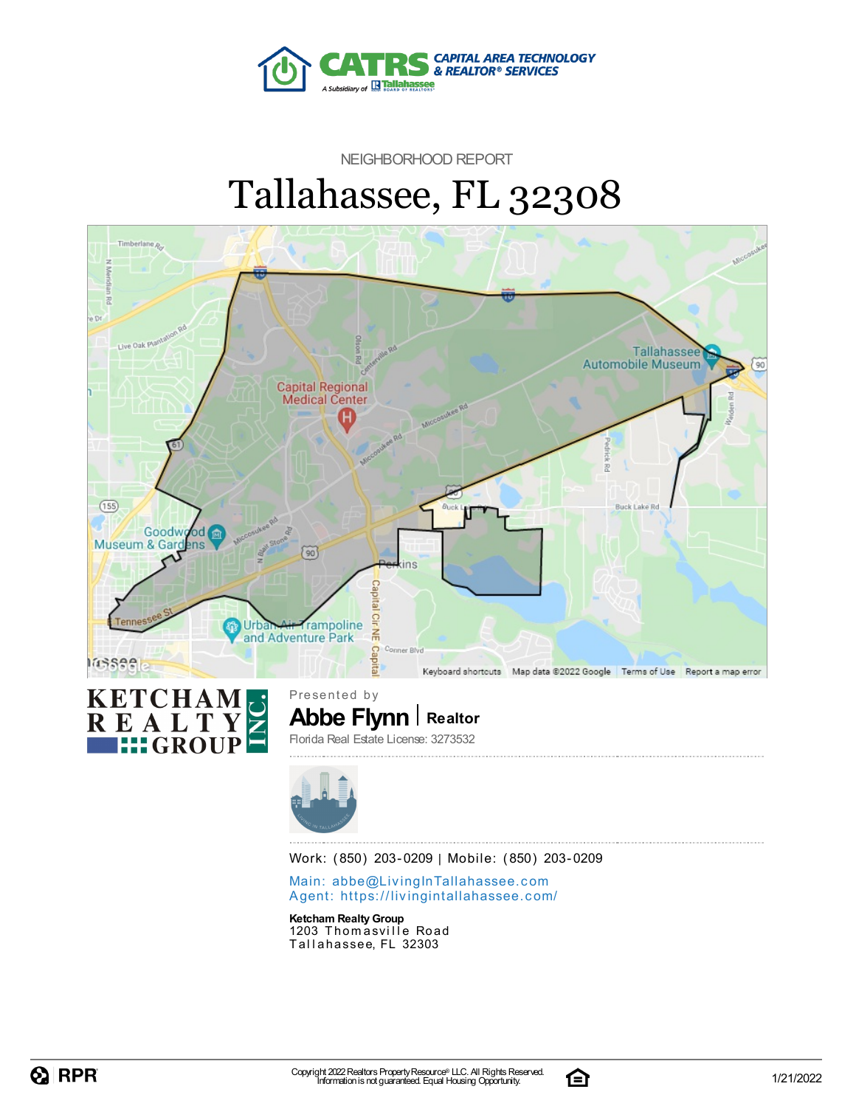

NEIGHBORHOOD REPORT

# Tallahassee, FL 32308





**Abbe Flynn Realtor** Presented by Florida Real Estate License: 3273532



Work: (850) 203-0209 | Mobile: (850) 203-0209

Main: abbe@LivingInTallaha[sse](mailto:abbe@LivingInTallahassee.com)e.com Agent: https://livingintallaha[sse](https://livingintallahassee.com/)e.com/

**Ketcham RealtyGroup** 1203 Thomasville Road Tallahassee, FL 32303

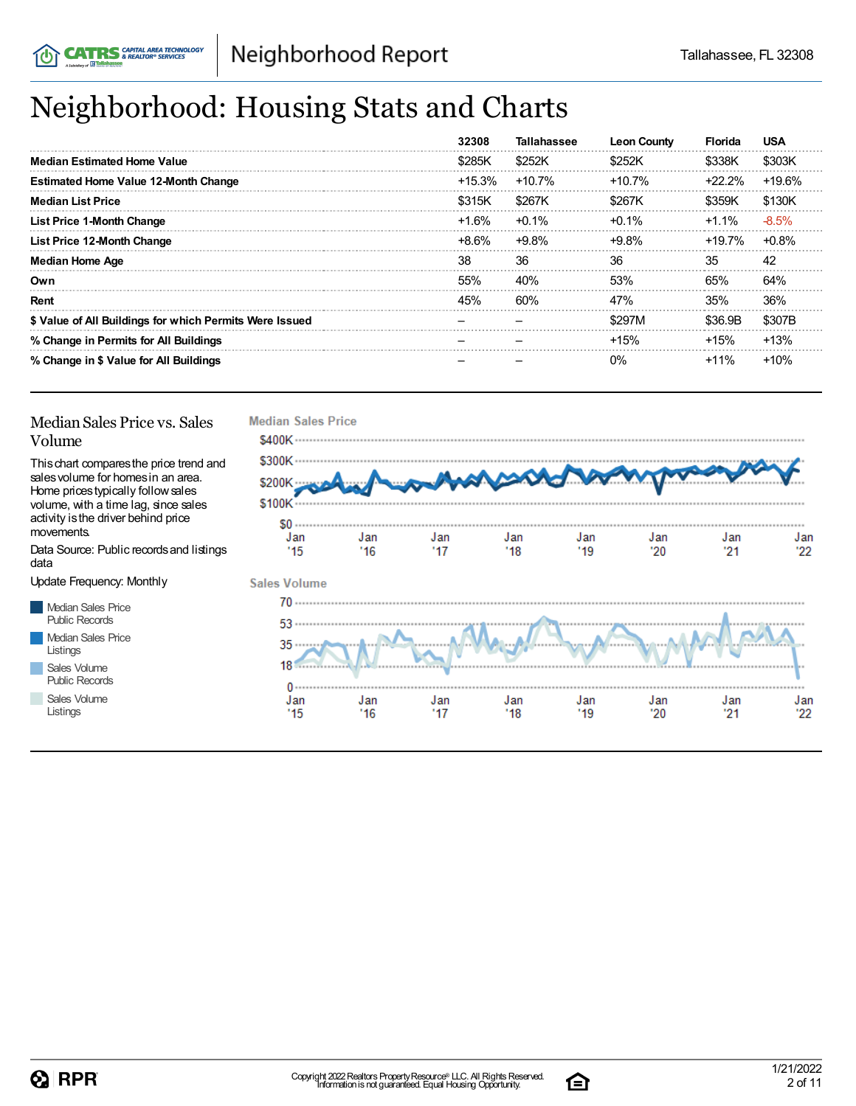## Neighborhood: Housing Stats and Charts

|                                                         | 32308     | <b>Tallahassee</b> | <b>Leon County</b> | <b>Florida</b> | <b>USA</b> |
|---------------------------------------------------------|-----------|--------------------|--------------------|----------------|------------|
| <b>Median Estimated Home Value</b>                      | \$285K    | \$252K             | \$252K             | \$338K         | \$303K     |
| <b>Estimated Home Value 12-Month Change</b>             | $+15.3\%$ | $+10.7%$           | $+10.7%$           | +22.2%         | $+19.6%$   |
| <b>Median List Price</b>                                | \$315K    | \$267K             | \$267K             | \$359K         | \$130K     |
| <b>List Price 1-Month Change</b>                        | +1.6%     | $+0.1%$            | $+0.1\%$           | +1.1%          | $-8.5%$    |
| List Price 12-Month Change                              | +8.6%     | $+9.8%$            | $+9.8\%$           | +19.7%         | $+0.8%$    |
| <b>Median Home Age</b>                                  | 38        | 36                 | 36                 | 35             | 42         |
| Own                                                     | 55%       | 40%                | 53%                | 65%            | 64%        |
| Rent                                                    | 45%       | 60%                | 47%                | 35%            | 36%        |
| \$ Value of All Buildings for which Permits Were Issued |           |                    | \$297M             | \$36.9B        | \$307B     |
| % Change in Permits for All Buildings                   |           |                    | $+15%$             | $+15%$         | $+13%$     |
| % Change in \$ Value for All Buildings                  |           |                    | $0\%$              | +11%           | $+10%$     |

#### Median Sales Price vs. Sales Volume

Thischart comparesthe price trend and salesvolume for homesin an area. Home pricestypically followsales volume, with a time lag, since sales activity is the driver behind price movements.

Data Source: Public recordsand listings data

Update Frequency: Monthly

Median Sales Price Public Records Median Sales Price Listings Sales Volume

Public Records

Sales Volume Listings



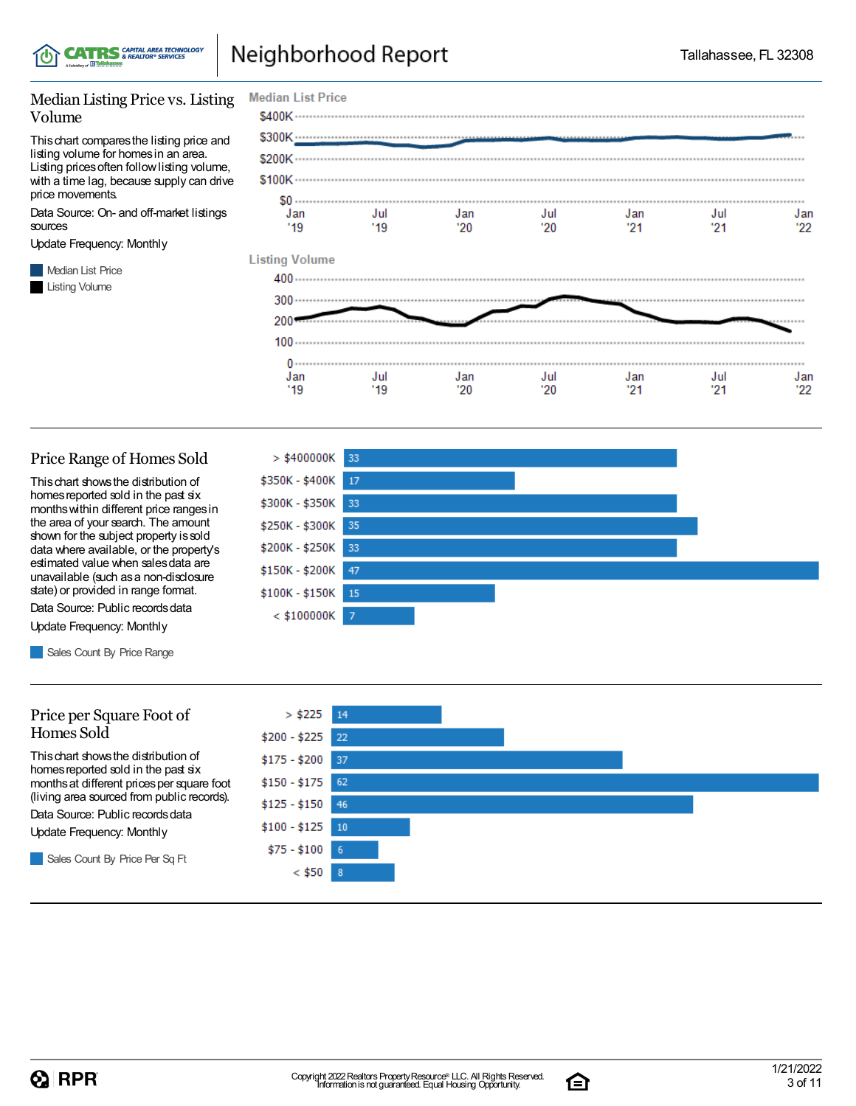

#### Median Listing Price vs. Listing Volume

Thischart comparesthe listing price and listing volume for homesin an area. Listing prices often follow listing volume, with a time lag, because supply can drive price movements.

Data Source: On- and off-market listings sources

Update Frequency: Monthly

**Median List Price** Listing Volume



#### Price Range of Homes Sold

Thischart showsthe distribution of homes reported sold in the past six monthswithin different price rangesin the area of your search. The amount shown for the subject property issold data where available, or the property's estimated value when salesdata are unavailable (such asa non-disclosure state) or provided in range format.

Data Source: Public records data Update Frequency: Monthly

Sales Count By Price Range

#### Price per Square Foot of Homes Sold

Thischart showsthe distribution of homes reported sold in the past six monthsat different pricesper square foot (living area sourced from public records).

Data Source: Public records data

Update Frequency: Monthly

Sales Count By Price Per Sq Ft





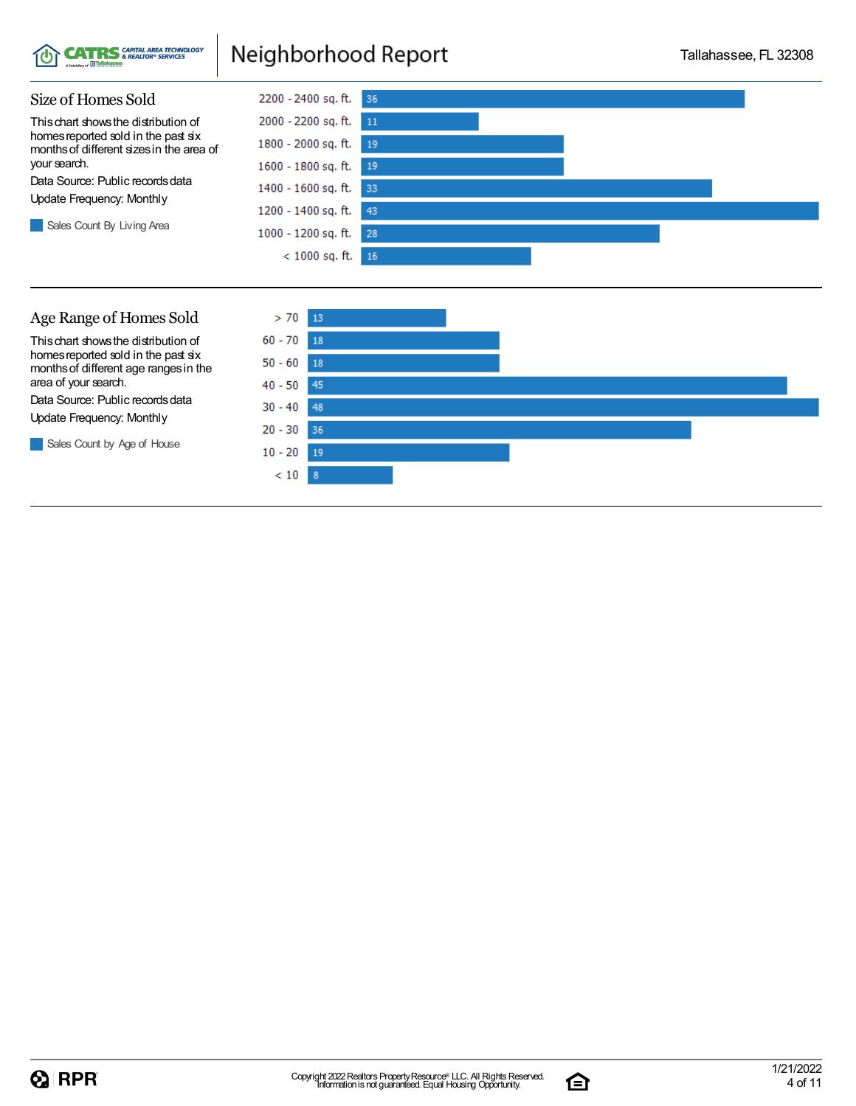





Thischart showsthe distribution of homes reported sold in the past six monthsof different age rangesin the area of your search.

Data Source: Public records data Update Frequency: Monthly

Sales Count by Age of House



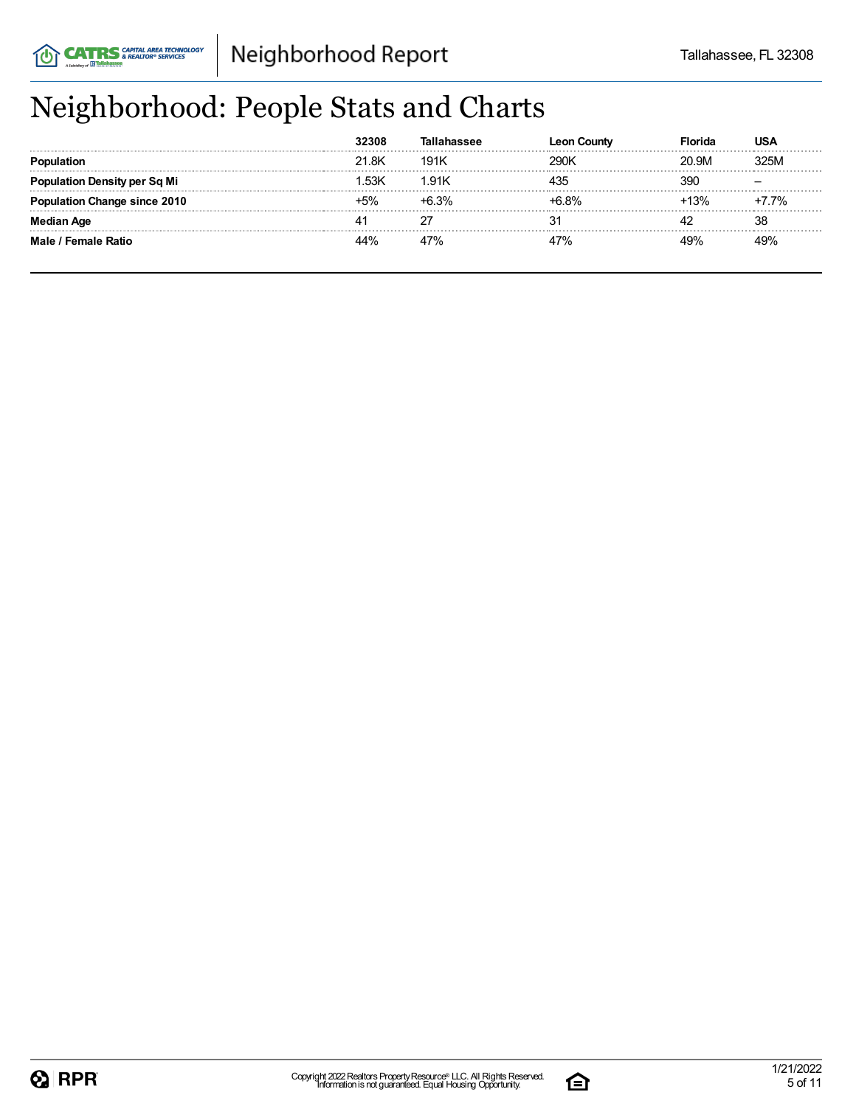## Neighborhood: People Stats and Charts

|                                | 32308 |         | <b>Leon County</b> | -lorida | USA   |
|--------------------------------|-------|---------|--------------------|---------|-------|
|                                | 21.8K | 191K    | 290K               | 20.9M   | 325M  |
| lation Density per Sq Mi       | 1.53K | 1.91K   | 435                | 390     |       |
| <b>ation Change since 2010</b> | $-5%$ | $+6.3%$ | $-6.8%$            | $13\%$  | +7.7% |
| Median Age                     |       |         |                    |         | 38    |
| Male / Female Ratio            | 44%   | 47%     | 47%                | 19%     |       |

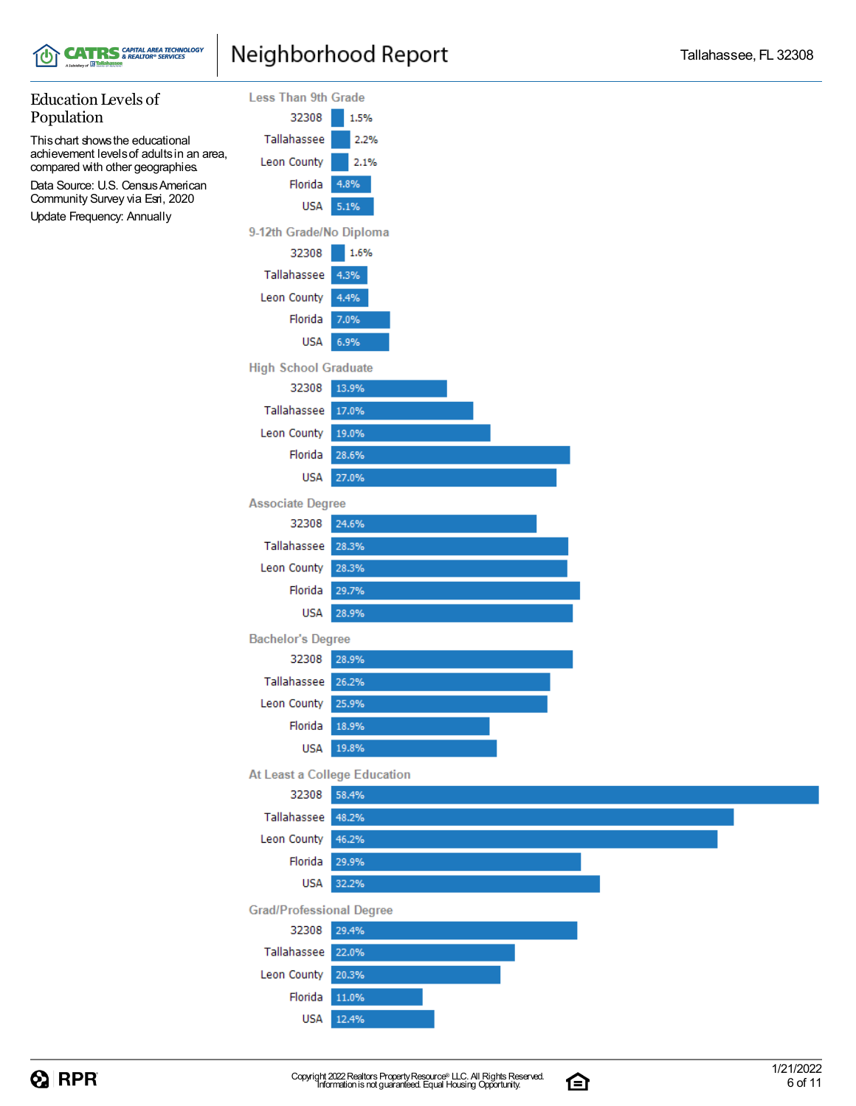



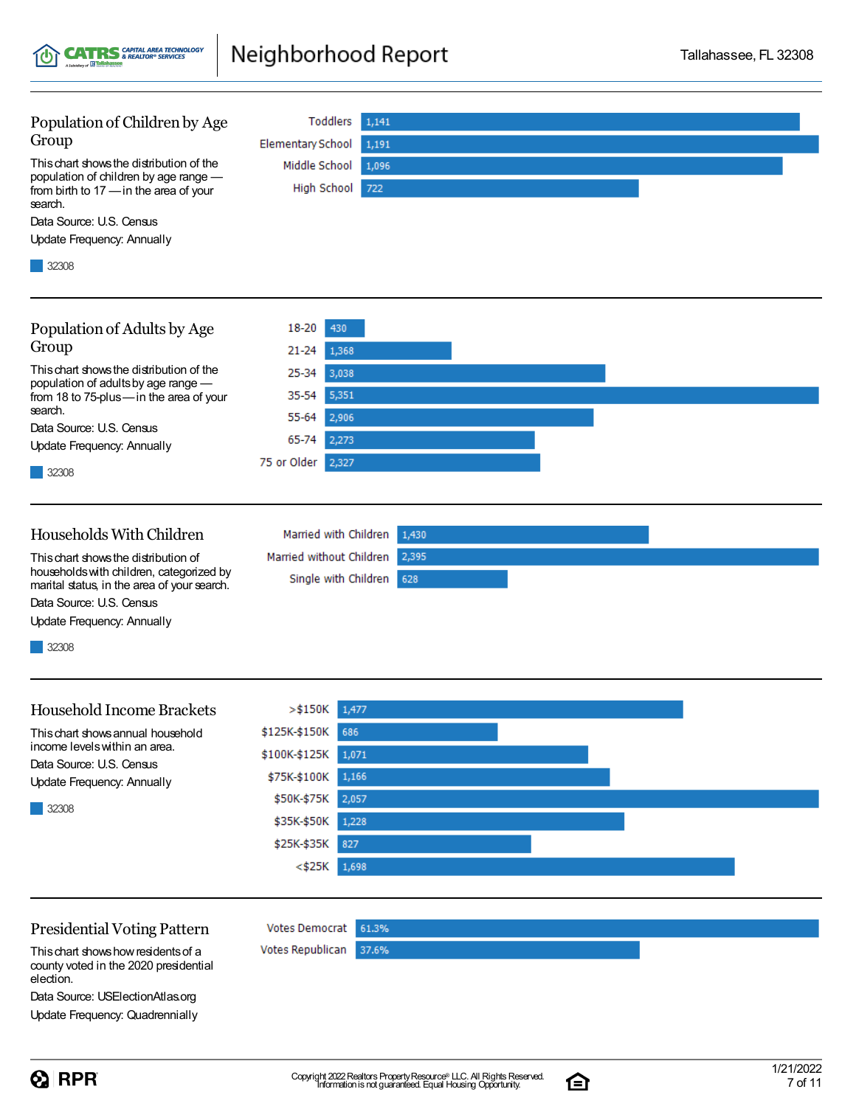Population of Children by Age Toddlers  $1,141$ Group **Elementary School** 1,191 Thischart showsthe distribution of the Middle School 1,096 High School 722 Data Source: U.S. Census 32308 Population of Adults by Age 18-20 430  $21 - 24$ 1,368 Thischart showsthe distribution of the 25-34 3,038 population of adultsby age range — 35-54 5,351 from 18 to 75-plus—in the area of your search. 55-64 2,906 Data Source: U.S. Census 65-74 2,273 75 or Older 2,327 32308 Households WithChildren Married with Children 1,430 Married without Children 2,395 Thischart showsthe distribution of householdswith children, categorized by Single with Children 628 Update Frequency: Annually 32308 Household Income Brackets  $> $150K$  1,477 \$125K-\$150K 686 Thischart showsannual household income levelswithin an area. \$100K-\$125K 1,071 Data Source: U.S. Census \$75K-\$100K 1,166 Update Frequency: Annually \$50K-\$75K 2,057 32308 \$35K-\$50K  $1,228$ \$25K-\$35K 827  $<$ \$25K 1,698

Thischart showshowresidentsof a county voted in the 2020 presidential election.

Data Source: USElectionAtlas.org Update Frequency: Quadrennially

合

**Votes Democrat** 

Votes Republican

61.3%

37.6%

Neighborhood Report

population of children by age range from birth to 17 —in the area of your search.

**CATRS** SAPITAL AREA TECHNOLOGY

Update Frequency: Annually

., IB B

Group

Update Frequency: Annually

marital status, in the area of your search. Data Source: U.S. Census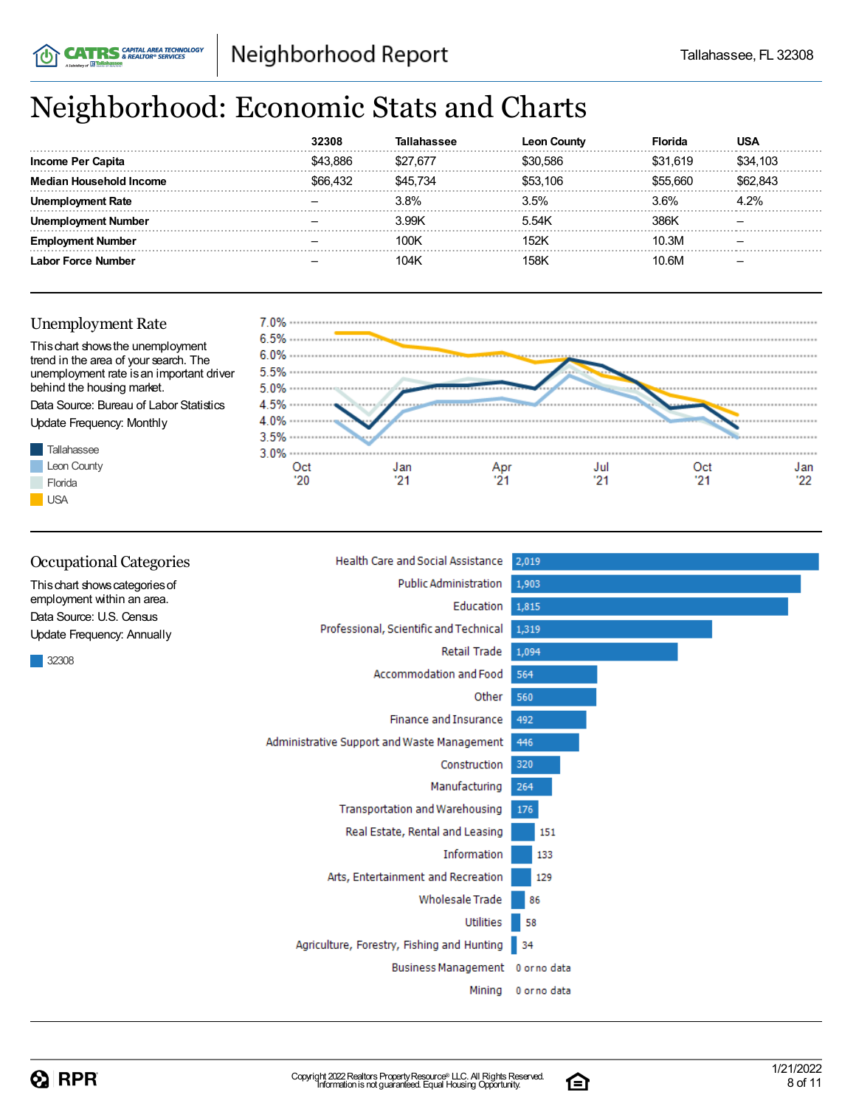## Neighborhood: Economic Stats and Charts

|                           |          |          | Count<br>∟ec | Florida  |          |
|---------------------------|----------|----------|--------------|----------|----------|
| <b>Income Per Capita</b>  | \$43.886 | \$27.677 | \$30.586     | \$31.619 | \$34.103 |
| Median Household Income   | \$66.432 | \$45 734 | \$53.106     | \$55 660 | 843      |
| l Rate                    |          | 3.8%     | 3.5%         | 3.6%     | 1.2%     |
| Number                    |          | 3.99K    | 5.54K        | 386K     |          |
| Empl<br>Number            |          | 100K     | 152K         | 10.3M    |          |
| <b>Labor Force Number</b> |          | 104K     | 158K         | 10.6M    |          |

### Unemployment Rate

**CATRS** & REALTOR® SERVICES





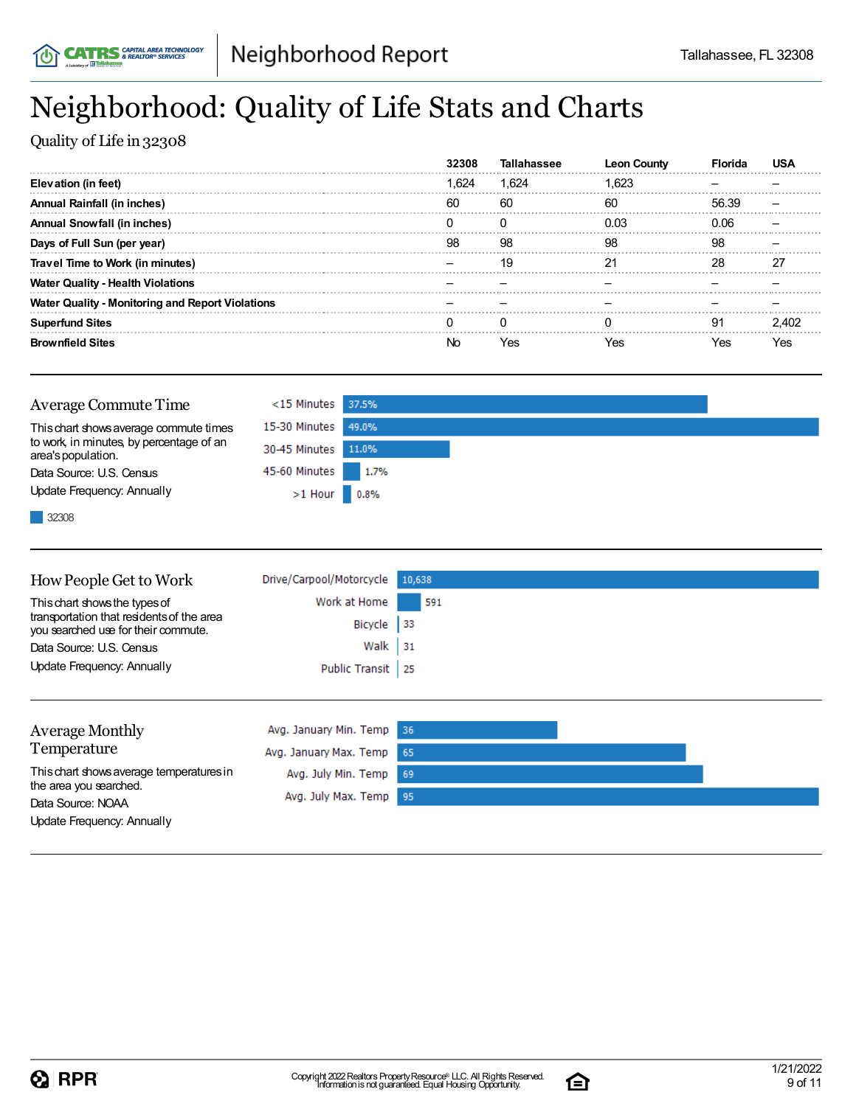## Neighborhood: Quality of Life Stats and Charts

Quality of Life in 32308

|                                                         |      | Tall  | Leon Countv |       |    |
|---------------------------------------------------------|------|-------|-------------|-------|----|
| Elevation (in feet)                                     | .624 | 1.624 | 1.623       |       |    |
| Annual Rainfall (in inches)                             | 60   | 60    | 60          | 56.39 |    |
| Annual Snowfall (in inches)                             |      |       | 0 በ3        | 0 Q.  |    |
| Days of Full Sun (per year)                             | 98   | 98    | 98          | 98    |    |
| Travel Time to Work (in minutes)                        |      | 19    |             | 28    |    |
| <b>Water Quality - Health Violations</b>                |      |       |             |       |    |
| <b>Water Quality - Monitoring and Report Violations</b> |      |       |             |       |    |
| <b>Superfund Sites</b>                                  |      |       |             | .91   |    |
| <b>Brownfield Sites</b>                                 |      | Yes   |             |       | e۶ |

| <b>Average Commute Time</b>                                    | $<$ 15 Minutes 37.5% |      |
|----------------------------------------------------------------|----------------------|------|
| This chart shows average commute times                         | 15-30 Minutes 49.0%  |      |
| to work, in minutes, by percentage of an<br>area's population. | 30-45 Minutes 11.0%  |      |
| Data Source: U.S. Census                                       | 45-60 Minutes        | 1.7% |
| Update Frequency: Annually                                     | $>1$ Hour 0.8%       |      |
| 32308                                                          |                      |      |

| How People Get to Work                                                                                            | Drive/Carpool/Motorcycle | 10,638     |
|-------------------------------------------------------------------------------------------------------------------|--------------------------|------------|
| This chart shows the types of<br>transportation that residents of the area<br>you searched use for their commute. | Work at Home             | 591        |
|                                                                                                                   | Bicycle                  | $\vert$ 33 |
| Data Source: U.S. Census                                                                                          | Walk                     | 31         |
| Update Frequency: Annually                                                                                        | Public Transit           | -25        |
|                                                                                                                   |                          |            |
| <b>Average Monthly</b>                                                                                            | Avg. January Min. Temp   | 36         |
| Temperature                                                                                                       | Avg. January Max. Temp   | 65         |
| This chart shows average temperatures in<br>the area you searched.                                                | Avg. July Min. Temp      | 69         |
|                                                                                                                   |                          |            |

95

Avg. July Max. Temp

Data Source: NOAA

Update Frequency: Annually

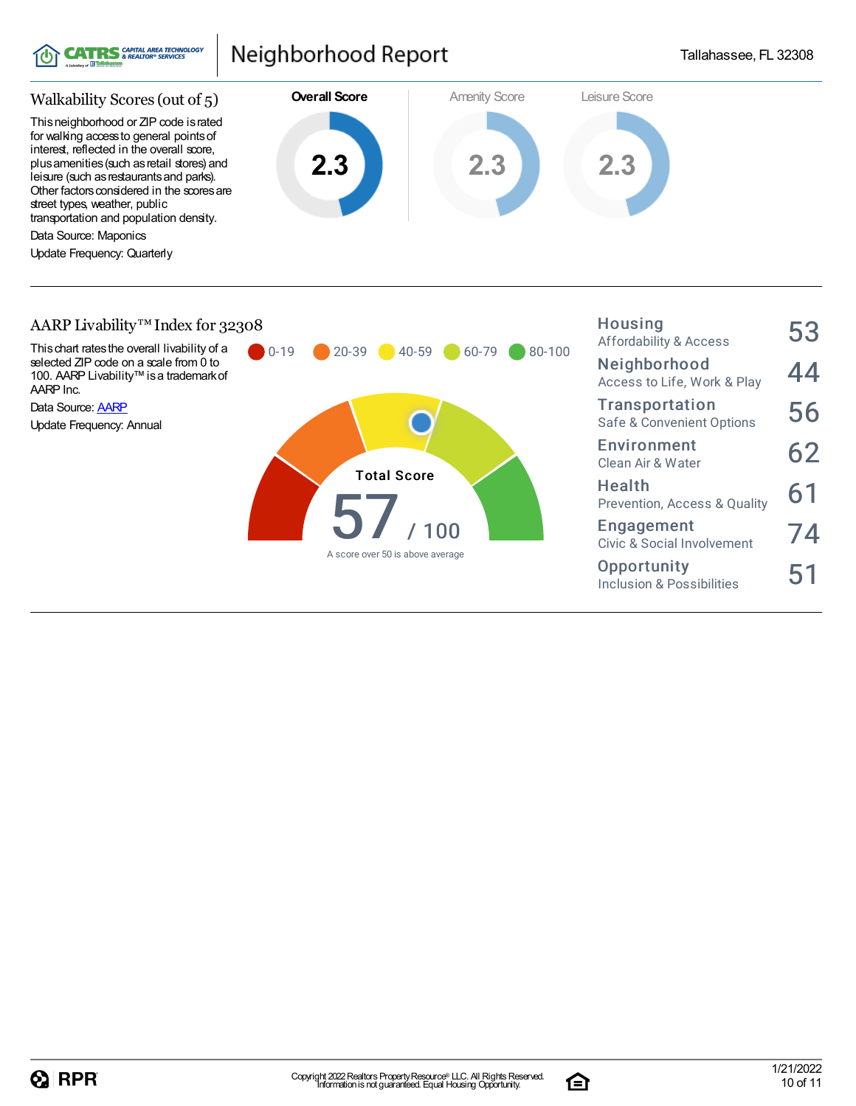

Housing



### AARP Livability™ Index for 32308